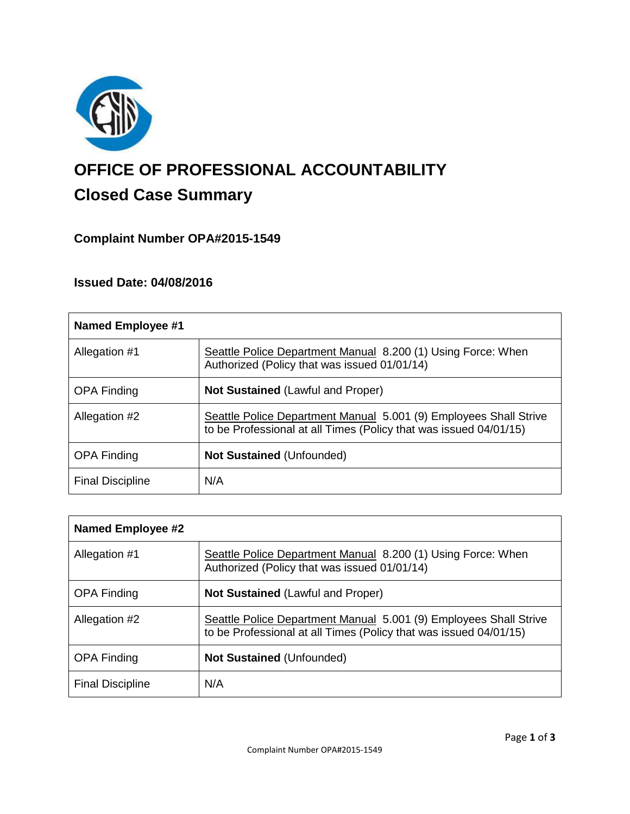

# **OFFICE OF PROFESSIONAL ACCOUNTABILITY Closed Case Summary**

# **Complaint Number OPA#2015-1549**

# **Issued Date: 04/08/2016**

| <b>Named Employee #1</b> |                                                                                                                                        |
|--------------------------|----------------------------------------------------------------------------------------------------------------------------------------|
| Allegation #1            | Seattle Police Department Manual 8.200 (1) Using Force: When<br>Authorized (Policy that was issued 01/01/14)                           |
| <b>OPA Finding</b>       | <b>Not Sustained (Lawful and Proper)</b>                                                                                               |
| Allegation #2            | Seattle Police Department Manual 5.001 (9) Employees Shall Strive<br>to be Professional at all Times (Policy that was issued 04/01/15) |
| <b>OPA Finding</b>       | <b>Not Sustained (Unfounded)</b>                                                                                                       |
| <b>Final Discipline</b>  | N/A                                                                                                                                    |

| Named Employee #2       |                                                                                                                                        |
|-------------------------|----------------------------------------------------------------------------------------------------------------------------------------|
| Allegation #1           | Seattle Police Department Manual 8.200 (1) Using Force: When<br>Authorized (Policy that was issued 01/01/14)                           |
| <b>OPA Finding</b>      | <b>Not Sustained (Lawful and Proper)</b>                                                                                               |
| Allegation #2           | Seattle Police Department Manual 5.001 (9) Employees Shall Strive<br>to be Professional at all Times (Policy that was issued 04/01/15) |
| <b>OPA Finding</b>      | <b>Not Sustained (Unfounded)</b>                                                                                                       |
| <b>Final Discipline</b> | N/A                                                                                                                                    |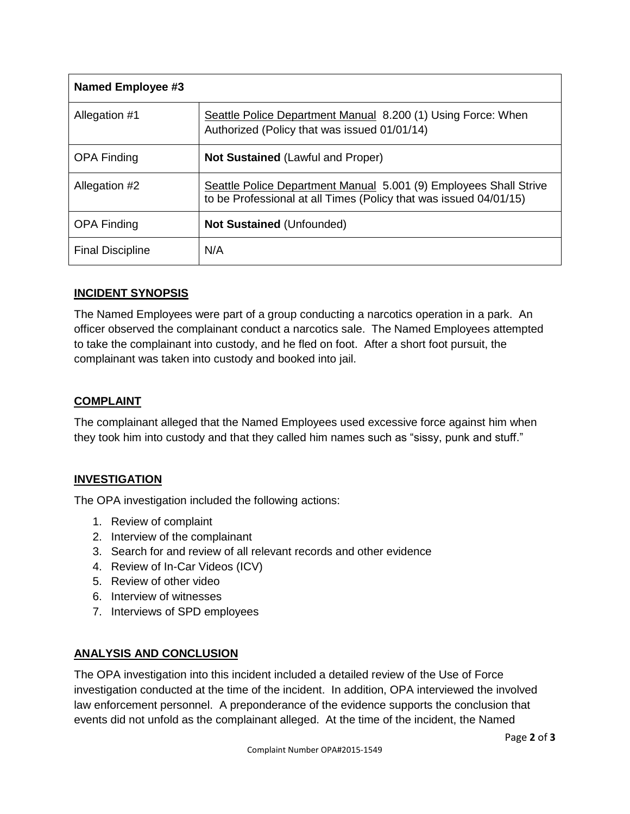| Named Employee #3       |                                                                                                                                        |
|-------------------------|----------------------------------------------------------------------------------------------------------------------------------------|
| Allegation #1           | Seattle Police Department Manual 8.200 (1) Using Force: When<br>Authorized (Policy that was issued 01/01/14)                           |
| <b>OPA Finding</b>      | <b>Not Sustained (Lawful and Proper)</b>                                                                                               |
| Allegation #2           | Seattle Police Department Manual 5.001 (9) Employees Shall Strive<br>to be Professional at all Times (Policy that was issued 04/01/15) |
| <b>OPA Finding</b>      | <b>Not Sustained (Unfounded)</b>                                                                                                       |
| <b>Final Discipline</b> | N/A                                                                                                                                    |

## **INCIDENT SYNOPSIS**

The Named Employees were part of a group conducting a narcotics operation in a park. An officer observed the complainant conduct a narcotics sale. The Named Employees attempted to take the complainant into custody, and he fled on foot. After a short foot pursuit, the complainant was taken into custody and booked into jail.

## **COMPLAINT**

The complainant alleged that the Named Employees used excessive force against him when they took him into custody and that they called him names such as "sissy, punk and stuff."

## **INVESTIGATION**

The OPA investigation included the following actions:

- 1. Review of complaint
- 2. Interview of the complainant
- 3. Search for and review of all relevant records and other evidence
- 4. Review of In-Car Videos (ICV)
- 5. Review of other video
- 6. Interview of witnesses
- 7. Interviews of SPD employees

#### **ANALYSIS AND CONCLUSION**

The OPA investigation into this incident included a detailed review of the Use of Force investigation conducted at the time of the incident. In addition, OPA interviewed the involved law enforcement personnel. A preponderance of the evidence supports the conclusion that events did not unfold as the complainant alleged. At the time of the incident, the Named